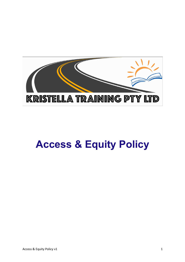

# **Access & Equity Policy**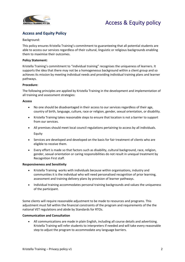



### **Access and Equity Policy**

### Background:

This policy ensures Kristella Training's commitment to guaranteeing that all potential students are able to access our services regardless of their cultural, linguistic or religious backgrounds enabling them to maximise their outcomes.

### **Policy Statement:**

Kristella Training's commitment to "individual training" recognises the uniqueness of learners. It supports the idea that there may not be a homogeneous background within a client group and so achieves its mission by meeting individual needs and providing individual training plans and learner pathways.

### **Procedure:**

The following principles are applied by Kristella Training in the development and implementation of all training and assessment strategies:

### **Access**

- No one should be disadvantaged in their access to our services regardless of their age, country of birth, language, culture, race or religion, gender, sexual orientation, or disability.
- Kristella Training takes reasonable steps to ensure that location is not a barrier to support from our services.
- All premises should meet local council regulations pertaining to access by all individuals. Equity
- Services are developed and developed on the basis for fair treatment of clients who are eligible to receive them.
- Every effort is made so that factors such as disability, cultural background, race, religion, gender, sexual orientation or caring responsibilities do not result in unequal treatment by Recognition First staff.

### **Responsiveness and Sensitivity**

- Kristella Training works with individuals because within organisations, industry and communities it is the individual who will need personalised recognition of prior learning, assessment and training delivery plans by provision of learner pathways.
- Individual training accommodates personal training backgrounds and values the uniqueness of the participant.

Some clients will require reasonable adjustment to be made to resources and programs. This adjustment must fall within the financial constraints of the program and requirements of the the national VET regulations and abide by Standards for RTOs.

### **Communication and Consultation**

• All communications are made in plain English, including all course details and advertising. Kristella Training will refer students to interpreters if needed and will take every reasonable step to adjust the program to accommodate any language barriers.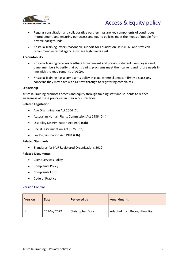

### Access & Equity policy

- Regular consultation and collaborative partnerships are key components of continuous improvement, and ensuring our access and equity policies meet the needs of people from diverse backgrounds.
- Kristella Training' offers reasonable support for Foundation Skills (LLN) and staff can recommend external agencies where high needs exist.

### **Accountability**

- Kristella Training receives feedback from current and previous students, employers and panel members to verify that our training programs meet their current and future needs in line with the requirements of ASQA.
- Kristella Training has a complaints policy in place where clients can firstly discuss any concerns they may have with KT staff through to registering complaints.

### **Leadership**

Kristella Training promotes access and equity through training staff and students to reflect awareness of these principles in their work practices.

### **Related Legislation:**

- Age Discrimination Act 2004 (Cth)
- Australian Human Rights Commission Act 1986 (Cth)
- Disability Discrimination Act 1992 (Cth)
- Racial Discrimination Act 1975 (Cth)
- Sex Discrimination Act 1984 (Cth)

#### **Related Standards:**

• Standards for NVR Registered Organisations 2012

### **Related Documents**:

- Client Services Policy
- Complaints Policy
- Complaints Form
- Code of Practice

### **Version Control**

| Version | Date        | Reviewed by       | Amendments                            |
|---------|-------------|-------------------|---------------------------------------|
|         | 26 May 2022 | Christopher Dixon | <b>Adapted from Recognition First</b> |